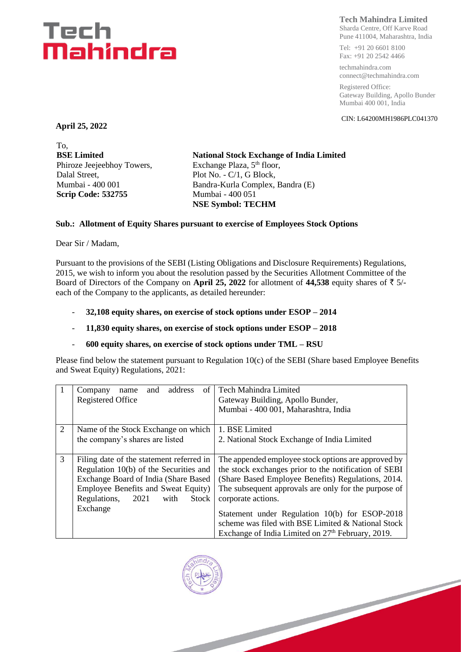# Tech Mahindra

## **Tech Mahindra Limited**

Sharda Centre, Off Karve Road Pune 411004, Maharashtra, India

Tel: +91 20 6601 8100 Fax: +91 20 2542 4466

techmahindra.com connect@techmahindra.com

Registered Office: Gateway Building, Apollo Bunder Mumbai 400 001, India

CIN: L64200MH1986PLC041370

**April 25, 2022**

To, **BSE Limited** Phiroze Jeejeebhoy Towers, Dalal Street, Mumbai - 400 001 **Scrip Code: 532755**

**National Stock Exchange of India Limited** Exchange Plaza, 5<sup>th</sup> floor, Plot No. - C/1, G Block, Bandra-Kurla Complex, Bandra (E) Mumbai - 400 051 **NSE Symbol: TECHM**

#### **Sub.: Allotment of Equity Shares pursuant to exercise of Employees Stock Options**

Dear Sir / Madam,

Pursuant to the provisions of the SEBI (Listing Obligations and Disclosure Requirements) Regulations, 2015, we wish to inform you about the resolution passed by the Securities Allotment Committee of the Board of Directors of the Company on April 25, 2022 for allotment of 44,538 equity shares of  $\bar{z}$  5/each of the Company to the applicants, as detailed hereunder:

- **32,108 equity shares, on exercise of stock options under ESOP – 2014**
- **11,830 equity shares, on exercise of stock options under ESOP – 2018**
- **600 equity shares, on exercise of stock options under TML – RSU**

Please find below the statement pursuant to Regulation 10(c) of the SEBI (Share based Employee Benefits and Sweat Equity) Regulations, 2021:

|   | address<br>of<br>Company<br>and<br>name      | <b>Tech Mahindra Limited</b>                                  |  |  |
|---|----------------------------------------------|---------------------------------------------------------------|--|--|
|   | Registered Office                            | Gateway Building, Apollo Bunder,                              |  |  |
|   |                                              | Mumbai - 400 001, Maharashtra, India                          |  |  |
|   |                                              |                                                               |  |  |
| 2 | Name of the Stock Exchange on which          | 1. BSE Limited                                                |  |  |
|   | the company's shares are listed              | 2. National Stock Exchange of India Limited                   |  |  |
|   |                                              |                                                               |  |  |
| 3 | Filing date of the statement referred in     | The appended employee stock options are approved by           |  |  |
|   | Regulation 10(b) of the Securities and       | the stock exchanges prior to the notification of SEBI         |  |  |
|   | Exchange Board of India (Share Based         | (Share Based Employee Benefits) Regulations, 2014.            |  |  |
|   | Employee Benefits and Sweat Equity)          | The subsequent approvals are only for the purpose of          |  |  |
|   | Regulations,<br>2021<br><b>Stock</b><br>with | corporate actions.                                            |  |  |
|   | Exchange                                     |                                                               |  |  |
|   |                                              | Statement under Regulation 10(b) for ESOP-2018                |  |  |
|   |                                              | scheme was filed with BSE Limited & National Stock            |  |  |
|   |                                              | Exchange of India Limited on 27 <sup>th</sup> February, 2019. |  |  |

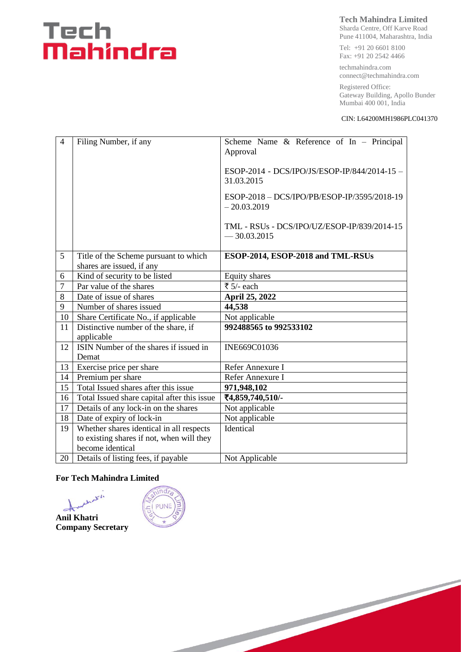# Tech<br>**Mahindra**

### **Tech Mahindra Limited**

Sharda Centre, Off Karve Road Pune 411004, Maharashtra, India

Tel: +91 20 6601 8100 Fax: +91 20 2542 4466

techmahindra.com connect@techmahindra.com

Registered Office: Gateway Building, Apollo Bunder Mumbai 400 001, India

#### CIN: L64200MH1986PLC041370

| $\overline{4}$ | Filing Number, if any                                              | Scheme Name & Reference of In - Principal<br>Approval        |  |  |
|----------------|--------------------------------------------------------------------|--------------------------------------------------------------|--|--|
|                |                                                                    | ESOP-2014 - DCS/IPO/JS/ESOP-IP/844/2014-15 -<br>31.03.2015   |  |  |
|                |                                                                    | ESOP-2018 - DCS/IPO/PB/ESOP-IP/3595/2018-19<br>$-20.03.2019$ |  |  |
|                |                                                                    | TML - RSUs - DCS/IPO/UZ/ESOP-IP/839/2014-15<br>$-30.03.2015$ |  |  |
| 5              | Title of the Scheme pursuant to which<br>shares are issued, if any | ESOP-2014, ESOP-2018 and TML-RSUs                            |  |  |
| 6              | Kind of security to be listed                                      | <b>Equity shares</b>                                         |  |  |
| $\overline{7}$ | Par value of the shares                                            | ₹ $5/-$ each                                                 |  |  |
| 8              | Date of issue of shares                                            | April 25, 2022                                               |  |  |
| 9              | Number of shares issued                                            | 44,538                                                       |  |  |
| 10             | Share Certificate No., if applicable                               | Not applicable                                               |  |  |
| 11             | Distinctive number of the share, if<br>applicable                  | 992488565 to 992533102                                       |  |  |
| 12             | ISIN Number of the shares if issued in<br>Demat                    | INE669C01036                                                 |  |  |
| 13             | Exercise price per share                                           | Refer Annexure I                                             |  |  |
| 14             | Premium per share                                                  | Refer Annexure I                                             |  |  |
| 15             | Total Issued shares after this issue                               | 971,948,102                                                  |  |  |
| 16             | Total Issued share capital after this issue                        | ₹4,859,740,510/-                                             |  |  |
| 17             | Details of any lock-in on the shares                               | Not applicable                                               |  |  |
| 18             | Date of expiry of lock-in                                          | Not applicable                                               |  |  |
| 19             | Whether shares identical in all respects                           | Identical                                                    |  |  |
|                | to existing shares if not, when will they                          |                                                              |  |  |
|                | become identical                                                   |                                                              |  |  |
| 20             | Details of listing fees, if payable                                | Not Applicable                                               |  |  |

#### **For Tech Mahindra Limited**

that is **Anil Khatri Company Secretary**